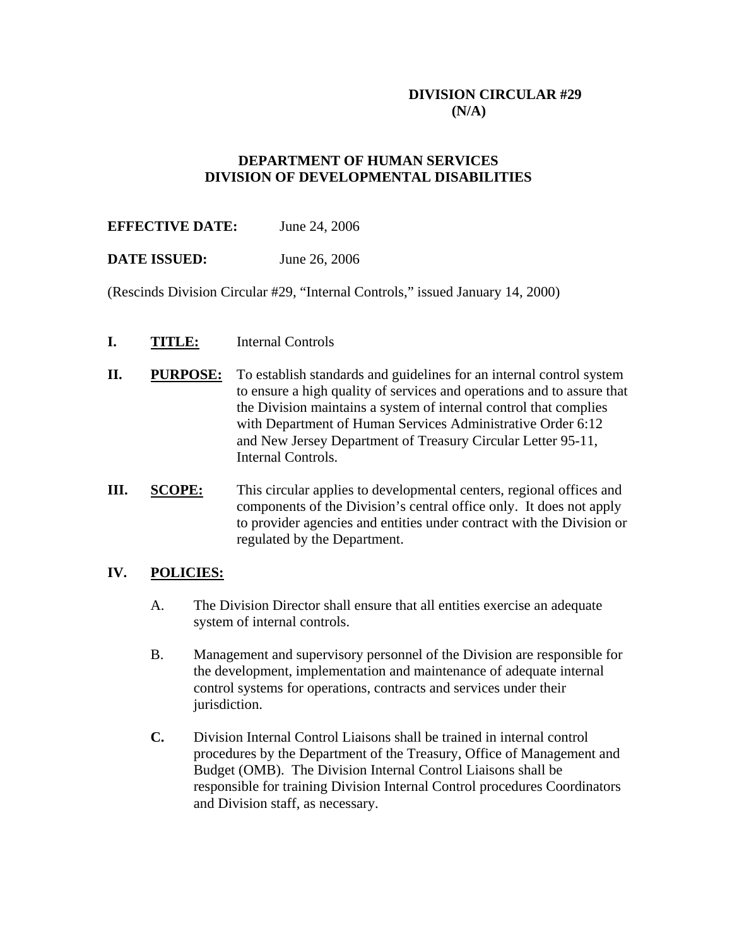## **DIVISION CIRCULAR #29 (N/A)**

## **DEPARTMENT OF HUMAN SERVICES DIVISION OF DEVELOPMENTAL DISABILITIES**

# **EFFECTIVE DATE:** June 24, 2006

## **DATE ISSUED:** June 26, 2006

(Rescinds Division Circular #29, "Internal Controls," issued January 14, 2000)

- **I. TITLE:** Internal Controls
- **II. PURPOSE:** To establish standards and guidelines for an internal control system to ensure a high quality of services and operations and to assure that the Division maintains a system of internal control that complies with Department of Human Services Administrative Order 6:12 and New Jersey Department of Treasury Circular Letter 95-11, Internal Controls.
- **III. SCOPE:** This circular applies to developmental centers, regional offices and components of the Division's central office only. It does not apply to provider agencies and entities under contract with the Division or regulated by the Department.

#### **IV. POLICIES:**

- A. The Division Director shall ensure that all entities exercise an adequate system of internal controls.
- B. Management and supervisory personnel of the Division are responsible for the development, implementation and maintenance of adequate internal control systems for operations, contracts and services under their jurisdiction.
- **C.** Division Internal Control Liaisons shall be trained in internal control procedures by the Department of the Treasury, Office of Management and Budget (OMB). The Division Internal Control Liaisons shall be responsible for training Division Internal Control procedures Coordinators and Division staff, as necessary.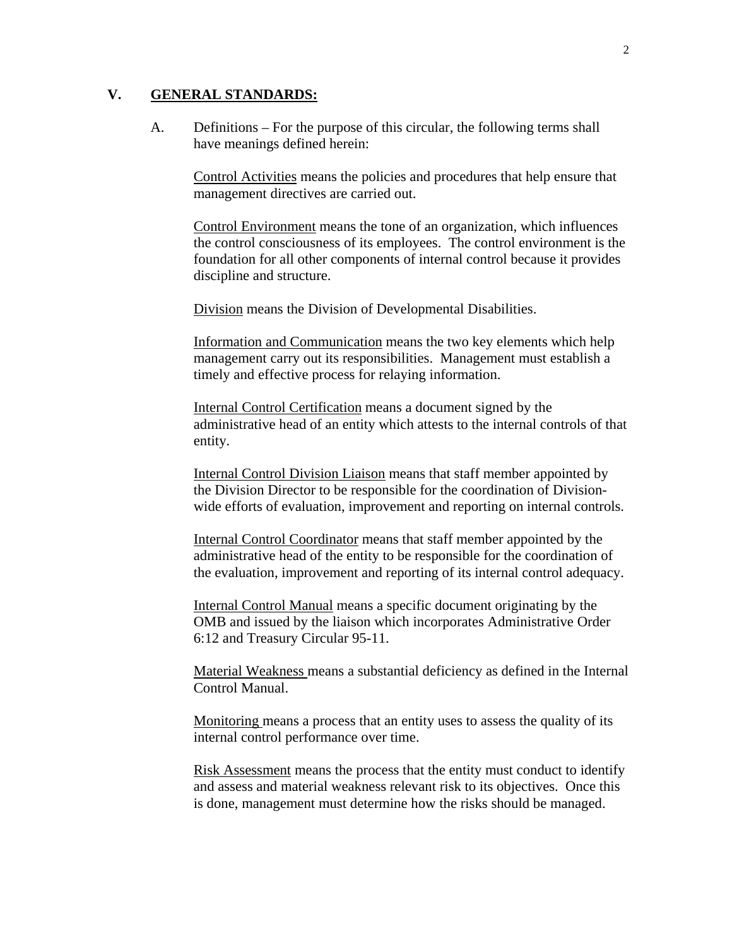#### **V. GENERAL STANDARDS:**

A. Definitions – For the purpose of this circular, the following terms shall have meanings defined herein:

Control Activities means the policies and procedures that help ensure that management directives are carried out.

Control Environment means the tone of an organization, which influences the control consciousness of its employees. The control environment is the foundation for all other components of internal control because it provides discipline and structure.

Division means the Division of Developmental Disabilities.

Information and Communication means the two key elements which help management carry out its responsibilities. Management must establish a timely and effective process for relaying information.

Internal Control Certification means a document signed by the administrative head of an entity which attests to the internal controls of that entity.

Internal Control Division Liaison means that staff member appointed by the Division Director to be responsible for the coordination of Divisionwide efforts of evaluation, improvement and reporting on internal controls.

Internal Control Coordinator means that staff member appointed by the administrative head of the entity to be responsible for the coordination of the evaluation, improvement and reporting of its internal control adequacy.

Internal Control Manual means a specific document originating by the OMB and issued by the liaison which incorporates Administrative Order 6:12 and Treasury Circular 95-11.

Material Weakness means a substantial deficiency as defined in the Internal Control Manual.

Monitoring means a process that an entity uses to assess the quality of its internal control performance over time.

Risk Assessment means the process that the entity must conduct to identify and assess and material weakness relevant risk to its objectives. Once this is done, management must determine how the risks should be managed.